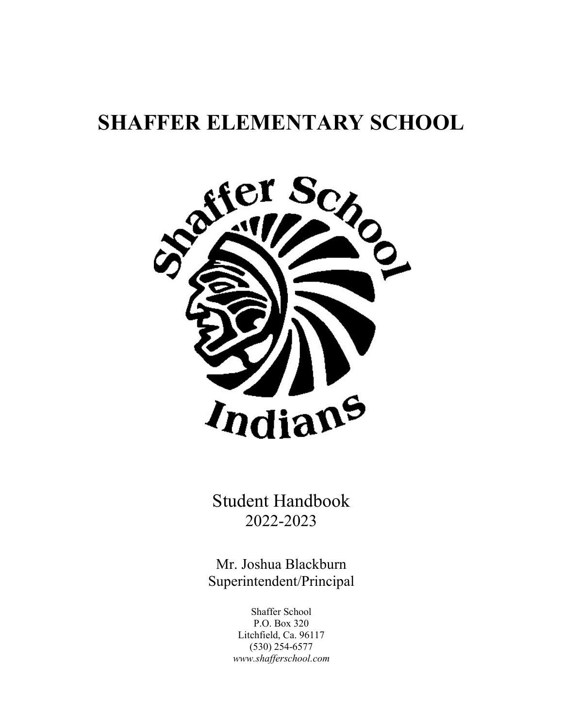# **SHAFFER ELEMENTARY SCHOOL**



Student Handbook 2022-2023

Mr. Joshua Blackburn Superintendent/Principal

> Shaffer School P.O. Box 320 Litchfield, Ca. 96117 (530) 254-6577 *www.shafferschool.com*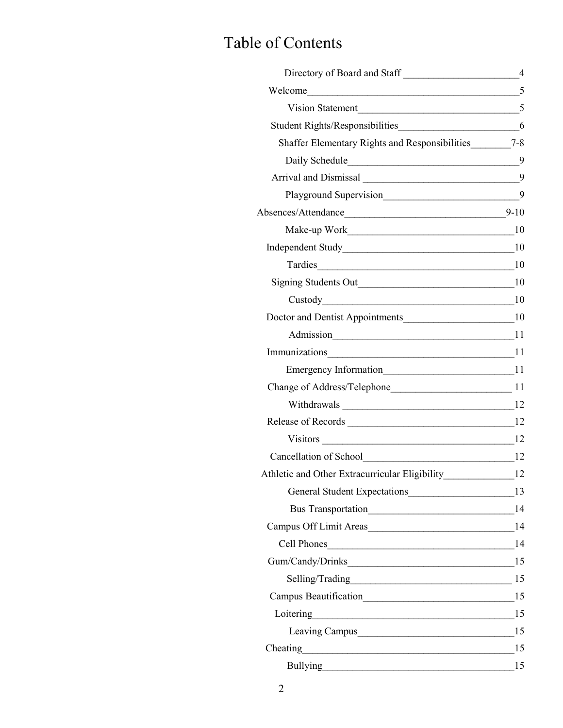## Table of Contents

| Directory of Board and Staff                                                                                                                                                                                                   | $\overline{4}$ |
|--------------------------------------------------------------------------------------------------------------------------------------------------------------------------------------------------------------------------------|----------------|
|                                                                                                                                                                                                                                |                |
| Vision Statement 5                                                                                                                                                                                                             |                |
|                                                                                                                                                                                                                                |                |
| Shaffer Elementary Rights and Responsibilities________7-8                                                                                                                                                                      |                |
|                                                                                                                                                                                                                                | $-9$           |
|                                                                                                                                                                                                                                | 9              |
| Playground Supervision__________________________________9                                                                                                                                                                      |                |
|                                                                                                                                                                                                                                | $9 - 10$       |
|                                                                                                                                                                                                                                |                |
|                                                                                                                                                                                                                                |                |
|                                                                                                                                                                                                                                | - 10           |
|                                                                                                                                                                                                                                |                |
| $Custody$ and $10$                                                                                                                                                                                                             |                |
|                                                                                                                                                                                                                                |                |
|                                                                                                                                                                                                                                |                |
|                                                                                                                                                                                                                                |                |
|                                                                                                                                                                                                                                |                |
|                                                                                                                                                                                                                                |                |
|                                                                                                                                                                                                                                |                |
|                                                                                                                                                                                                                                |                |
|                                                                                                                                                                                                                                |                |
|                                                                                                                                                                                                                                |                |
|                                                                                                                                                                                                                                |                |
|                                                                                                                                                                                                                                | 13             |
|                                                                                                                                                                                                                                |                |
|                                                                                                                                                                                                                                |                |
|                                                                                                                                                                                                                                |                |
|                                                                                                                                                                                                                                |                |
|                                                                                                                                                                                                                                |                |
|                                                                                                                                                                                                                                |                |
| Loitering                                                                                                                                                                                                                      | 15             |
| Leaving Campus 15                                                                                                                                                                                                              |                |
| Cheating                                                                                                                                                                                                                       | 15             |
| Bullying experience and the state of the state of the state of the state of the state of the state of the state of the state of the state of the state of the state of the state of the state of the state of the state of the | 15             |
|                                                                                                                                                                                                                                |                |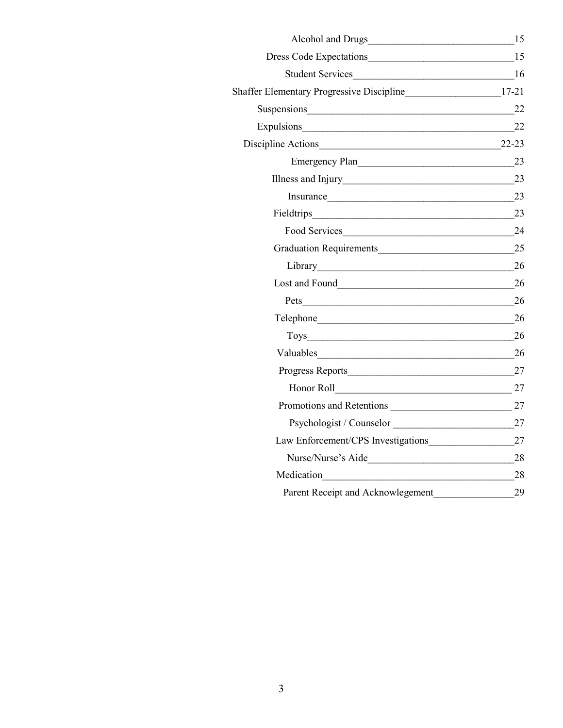| Alcohol and Drugs<br><u>Leadenborne and the set of the set of the set of the set of the set of the set of the set of the set of the set of the set of the set of the set of the set of the set of the set of the set of the set of</u> | 15 |
|----------------------------------------------------------------------------------------------------------------------------------------------------------------------------------------------------------------------------------------|----|
|                                                                                                                                                                                                                                        |    |
| Student Services                                                                                                                                                                                                                       | 16 |
| Shaffer Elementary Progressive Discipline_________________________17-21                                                                                                                                                                |    |
| Suspensions <b>Container and Container and Container</b> and Container and Container and Container and Container and Container and Container and Container and Container and Container and Container and Container and Container an    | 22 |
| Expulsions                                                                                                                                                                                                                             | 22 |
| Discipline Actions 22-23                                                                                                                                                                                                               |    |
| Emergency Plan                                                                                                                                                                                                                         | 23 |
| Illness and Injury                                                                                                                                                                                                                     | 23 |
| Insurance                                                                                                                                                                                                                              | 23 |
| Fieldtrips                                                                                                                                                                                                                             | 23 |
| Food Services                                                                                                                                                                                                                          | 24 |
|                                                                                                                                                                                                                                        | 25 |
|                                                                                                                                                                                                                                        | 26 |
| Lost and Found                                                                                                                                                                                                                         | 26 |
|                                                                                                                                                                                                                                        | 26 |
|                                                                                                                                                                                                                                        | 26 |
|                                                                                                                                                                                                                                        | 26 |
|                                                                                                                                                                                                                                        | 26 |
| Progress Reports                                                                                                                                                                                                                       | 27 |
|                                                                                                                                                                                                                                        | 27 |
| Promotions and Retentions                                                                                                                                                                                                              | 27 |
| Psychologist / Counselor                                                                                                                                                                                                               | 27 |
| Law Enforcement/CPS Investigations                                                                                                                                                                                                     | 27 |
|                                                                                                                                                                                                                                        | 28 |
| Medication                                                                                                                                                                                                                             | 28 |
| Parent Receipt and Acknowlegement                                                                                                                                                                                                      | 29 |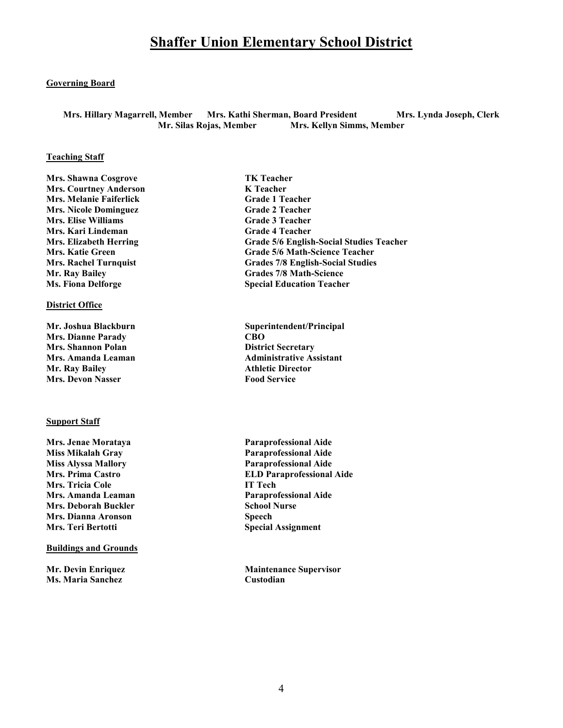### **Shaffer Union Elementary School District**

#### **Governing Board**

**Mrs. Hillary Magarrell, Member Mrs. Kathi Sherman, Board President Mrs. Lynda Joseph, Clerk Mr. Silas Rojas, Member Mrs. Kellyn Simms, Member**

#### **Teaching Staff**

**Mrs. Shawna Cosgrove TK Teacher<br>
Mrs. Courtney Anderson TE Teacher<br>
K Teacher Mrs. Courtney Anderson Mrs. Melanie Faiferlick Grade 1 Teacher Mrs. Nicole Dominguez Grade 2 Teacher Mrs. Elise Williams Grade 3 Teacher Mrs. Kari Lindeman** Grade 4 Teacher **Ms. Fiona Delforge Special Education Teacher** 

#### **District Office**

**Mrs. Dianne Parady CBO Mrs. Shannon Polan District Secretary Mr. Ray Bailey Athletic Director<br>
Mrs. Devon Nasser Athletic Director<br>
Athletic Director<br>
Athletic Director Mrs. Devon Nasser** 

#### **Support Staff**

**Mrs. Jenae Morataya Paraprofessional Aide Miss Alyssa Mallory Paraprofessional Aide Mrs. Tricia Cole IT Tech Mrs. Amanda Leaman Paraprofessional Aide Mrs. Deborah Buckler School Nurse** School Nurse **Mrs. Dianna Aronson** Speech **Mrs. Teri Bertotti** Special Assignment

#### **Buildings and Grounds**

**Ms. Maria Sanchez Custodian** 

**Mrs. Elizabeth Herring Grade 5/6 English-Social Studies Teacher Mrs. Katie Green Grade 5/6 Math-Science Teacher<br>
Mrs. Rachel Turnquist Grades 7/8 English-Social Studies Grades 7/8 English-Social Studies Mr. Ray Bailey Grades 7/8 Math-Science** 

Mr. Joshua Blackburn Superintendent/Principal **Mrs. Amanda Leaman Administrative Assistant** 

**Miss Mikalah Gray Paraprofessional Aide Mrs. Prima Castro ELD Paraprofessional Aide** 

**Mr. Devin Enriquez Maintenance Supervisor**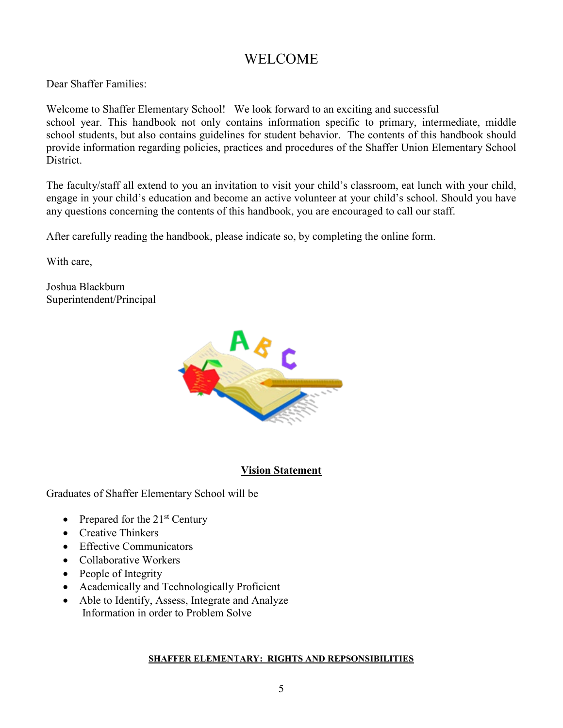### WELCOME

Dear Shaffer Families:

Welcome to Shaffer Elementary School! We look forward to an exciting and successful school year. This handbook not only contains information specific to primary, intermediate, middle school students, but also contains guidelines for student behavior. The contents of this handbook should provide information regarding policies, practices and procedures of the Shaffer Union Elementary School District.

The faculty/staff all extend to you an invitation to visit your child's classroom, eat lunch with your child, engage in your child's education and become an active volunteer at your child's school. Should you have any questions concerning the contents of this handbook, you are encouraged to call our staff.

After carefully reading the handbook, please indicate so, by completing the online form.

With care,

Joshua Blackburn Superintendent/Principal



### **Vision Statement**

Graduates of Shaffer Elementary School will be

- Prepared for the  $21<sup>st</sup>$  Century
- Creative Thinkers
- Effective Communicators
- Collaborative Workers
- People of Integrity
- Academically and Technologically Proficient
- Able to Identify, Assess, Integrate and Analyze Information in order to Problem Solve

### **SHAFFER ELEMENTARY: RIGHTS AND REPSONSIBILITIES**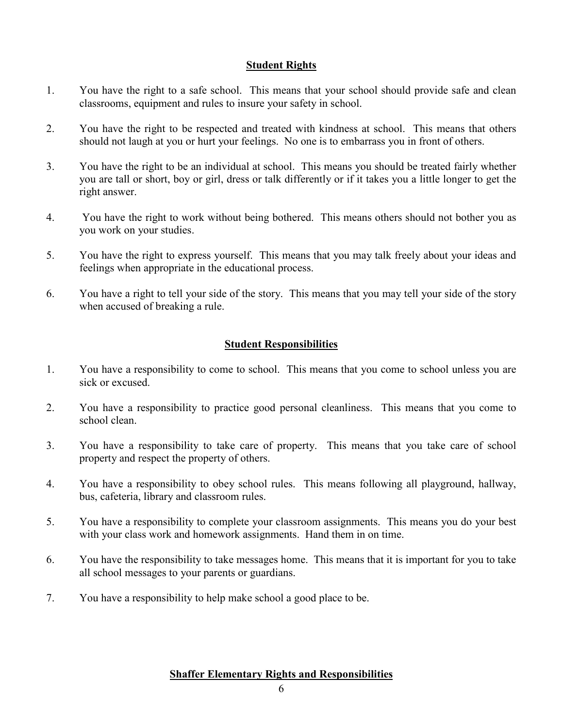### **Student Rights**

- 1. You have the right to a safe school. This means that your school should provide safe and clean classrooms, equipment and rules to insure your safety in school.
- 2. You have the right to be respected and treated with kindness at school. This means that others should not laugh at you or hurt your feelings. No one is to embarrass you in front of others.
- 3. You have the right to be an individual at school. This means you should be treated fairly whether you are tall or short, boy or girl, dress or talk differently or if it takes you a little longer to get the right answer.
- 4. You have the right to work without being bothered. This means others should not bother you as you work on your studies.
- 5. You have the right to express yourself. This means that you may talk freely about your ideas and feelings when appropriate in the educational process.
- 6. You have a right to tell your side of the story. This means that you may tell your side of the story when accused of breaking a rule.

### **Student Responsibilities**

- 1. You have a responsibility to come to school. This means that you come to school unless you are sick or excused.
- 2. You have a responsibility to practice good personal cleanliness. This means that you come to school clean.
- 3. You have a responsibility to take care of property. This means that you take care of school property and respect the property of others.
- 4. You have a responsibility to obey school rules. This means following all playground, hallway, bus, cafeteria, library and classroom rules.
- 5. You have a responsibility to complete your classroom assignments. This means you do your best with your class work and homework assignments. Hand them in on time.
- 6. You have the responsibility to take messages home. This means that it is important for you to take all school messages to your parents or guardians.
- 7. You have a responsibility to help make school a good place to be.

### **Shaffer Elementary Rights and Responsibilities**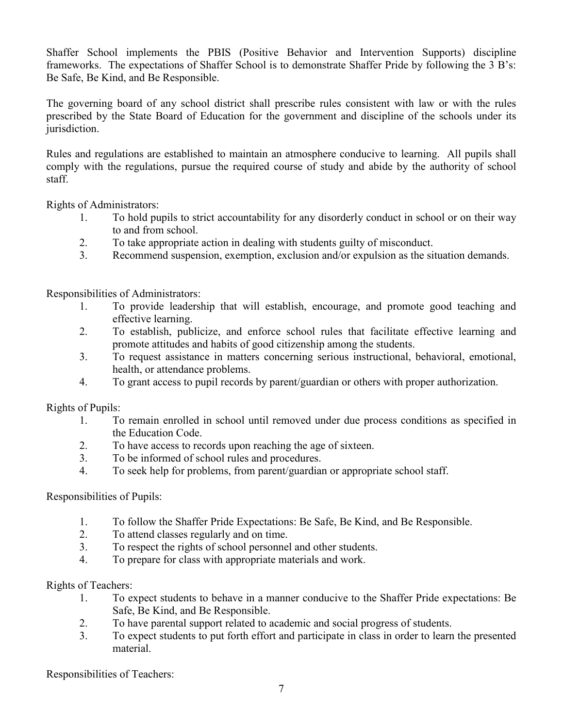Shaffer School implements the PBIS (Positive Behavior and Intervention Supports) discipline frameworks. The expectations of Shaffer School is to demonstrate Shaffer Pride by following the 3 B's: Be Safe, Be Kind, and Be Responsible.

The governing board of any school district shall prescribe rules consistent with law or with the rules prescribed by the State Board of Education for the government and discipline of the schools under its jurisdiction.

Rules and regulations are established to maintain an atmosphere conducive to learning. All pupils shall comply with the regulations, pursue the required course of study and abide by the authority of school staff.

Rights of Administrators:

- 1. To hold pupils to strict accountability for any disorderly conduct in school or on their way to and from school.
- 2. To take appropriate action in dealing with students guilty of misconduct.
- 3. Recommend suspension, exemption, exclusion and/or expulsion as the situation demands.

Responsibilities of Administrators:

- 1. To provide leadership that will establish, encourage, and promote good teaching and effective learning.
- 2. To establish, publicize, and enforce school rules that facilitate effective learning and promote attitudes and habits of good citizenship among the students.
- 3. To request assistance in matters concerning serious instructional, behavioral, emotional, health, or attendance problems.
- 4. To grant access to pupil records by parent/guardian or others with proper authorization.

Rights of Pupils:

- 1. To remain enrolled in school until removed under due process conditions as specified in the Education Code.
- 2. To have access to records upon reaching the age of sixteen.
- 3. To be informed of school rules and procedures.
- 4. To seek help for problems, from parent/guardian or appropriate school staff.

### Responsibilities of Pupils:

- 1. To follow the Shaffer Pride Expectations: Be Safe, Be Kind, and Be Responsible.
- 2. To attend classes regularly and on time.
- 3. To respect the rights of school personnel and other students.
- 4. To prepare for class with appropriate materials and work.

Rights of Teachers:

- 1. To expect students to behave in a manner conducive to the Shaffer Pride expectations: Be Safe, Be Kind, and Be Responsible.
- 2. To have parental support related to academic and social progress of students.
- 3. To expect students to put forth effort and participate in class in order to learn the presented material.

Responsibilities of Teachers: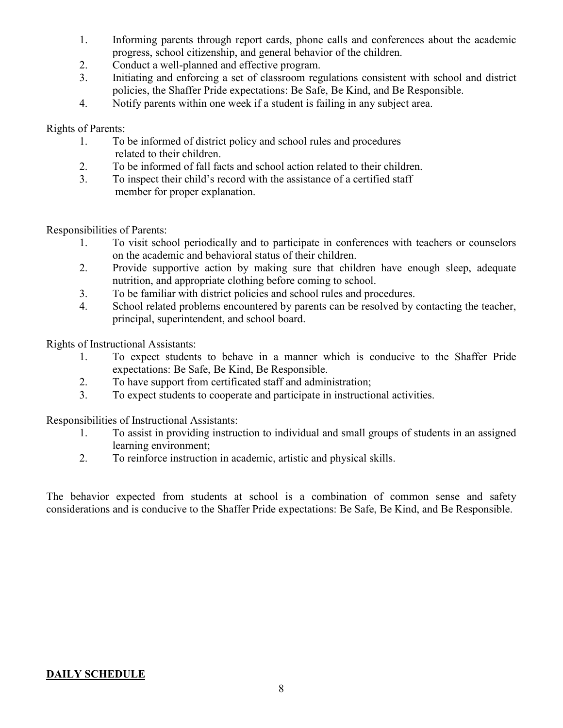- 1. Informing parents through report cards, phone calls and conferences about the academic progress, school citizenship, and general behavior of the children.
- 2. Conduct a well-planned and effective program.
- 3. Initiating and enforcing a set of classroom regulations consistent with school and district policies, the Shaffer Pride expectations: Be Safe, Be Kind, and Be Responsible.
- 4. Notify parents within one week if a student is failing in any subject area.

### Rights of Parents:

- 1. To be informed of district policy and school rules and procedures related to their children.
- 2. To be informed of fall facts and school action related to their children.
- 3. To inspect their child's record with the assistance of a certified staff member for proper explanation.

Responsibilities of Parents:

- 1. To visit school periodically and to participate in conferences with teachers or counselors on the academic and behavioral status of their children.
- 2. Provide supportive action by making sure that children have enough sleep, adequate nutrition, and appropriate clothing before coming to school.
- 3. To be familiar with district policies and school rules and procedures.
- 4. School related problems encountered by parents can be resolved by contacting the teacher, principal, superintendent, and school board.

Rights of Instructional Assistants:

- 1. To expect students to behave in a manner which is conducive to the Shaffer Pride expectations: Be Safe, Be Kind, Be Responsible.
- 2. To have support from certificated staff and administration;
- 3. To expect students to cooperate and participate in instructional activities.

Responsibilities of Instructional Assistants:

- 1. To assist in providing instruction to individual and small groups of students in an assigned learning environment;
- 2. To reinforce instruction in academic, artistic and physical skills.

The behavior expected from students at school is a combination of common sense and safety considerations and is conducive to the Shaffer Pride expectations: Be Safe, Be Kind, and Be Responsible.

### **DAILY SCHEDULE**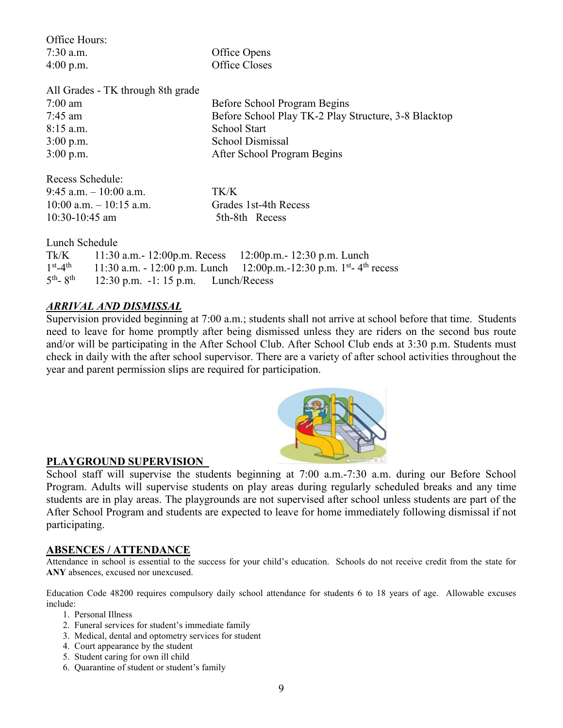| Office Hours:                     |                                        |                                                                                                 |
|-----------------------------------|----------------------------------------|-------------------------------------------------------------------------------------------------|
| $7:30$ a.m.                       |                                        | Office Opens                                                                                    |
| $4:00$ p.m.                       |                                        | Office Closes                                                                                   |
|                                   | All Grades - TK through 8th grade      |                                                                                                 |
| $7:00 \text{ am}$                 |                                        | Before School Program Begins                                                                    |
| $7:45$ am                         |                                        | Before School Play TK-2 Play Structure, 3-8 Blacktop                                            |
| $8:15$ a.m.                       |                                        | <b>School Start</b>                                                                             |
| $3:00$ p.m.                       |                                        | <b>School Dismissal</b>                                                                         |
| $3:00$ p.m.                       |                                        | After School Program Begins                                                                     |
| Recess Schedule:                  |                                        |                                                                                                 |
|                                   | 9:45 a.m. $-10:00$ a.m.                | TK/K                                                                                            |
|                                   | $10:00$ a.m. $-10:15$ a.m.             | Grades 1st-4th Recess                                                                           |
| $10:30-10:45$ am                  |                                        | 5th-8th Recess                                                                                  |
| Lunch Schedule                    |                                        |                                                                                                 |
| Tk/K                              |                                        | 11:30 a.m. - 12:00 p.m. Recess 12:00 p.m. - 12:30 p.m. Lunch                                    |
|                                   |                                        | $1^{st} - 4^{th}$ 11:30 a.m. - 12:00 p.m. Lunch 12:00 p.m. -12:30 p.m. $1^{st} - 4^{th}$ recess |
| $5^{\text{th}}$ - $8^{\text{th}}$ | $12:30$ p.m. $-1:15$ p.m. Lunch/Recess |                                                                                                 |

### *ARRIVAL AND DISMISSAL*

Supervision provided beginning at 7:00 a.m.; students shall not arrive at school before that time. Students need to leave for home promptly after being dismissed unless they are riders on the second bus route and/or will be participating in the After School Club. After School Club ends at 3:30 p.m. Students must check in daily with the after school supervisor. There are a variety of after school activities throughout the year and parent permission slips are required for participation.

### **PLAYGROUND SUPERVISION**

School staff will supervise the students beginning at 7:00 a.m.-7:30 a.m. during our Before School Program. Adults will supervise students on play areas during regularly scheduled breaks and any time students are in play areas. The playgrounds are not supervised after school unless students are part of the After School Program and students are expected to leave for home immediately following dismissal if not participating.

### **ABSENCES / ATTENDANCE**

Attendance in school is essential to the success for your child's education. Schools do not receive credit from the state for **ANY** absences, excused nor unexcused.

Education Code 48200 requires compulsory daily school attendance for students 6 to 18 years of age. Allowable excuses include:

- 1. Personal Illness
- 2. Funeral services for student's immediate family
- 3. Medical, dental and optometry services for student
- 4. Court appearance by the student
- 5. Student caring for own ill child
- 6. Quarantine of student or student's family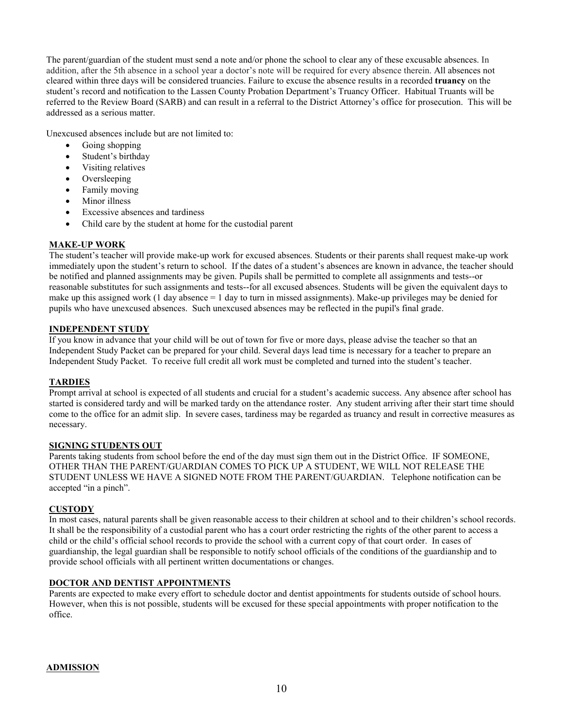The parent/guardian of the student must send a note and/or phone the school to clear any of these excusable absences. In addition, after the 5th absence in a school year a doctor's note will be required for every absence therein. All absences not cleared within three days will be considered truancies. Failure to excuse the absence results in a recorded **truancy** on the student's record and notification to the Lassen County Probation Department's Truancy Officer. Habitual Truants will be referred to the Review Board (SARB) and can result in a referral to the District Attorney's office for prosecution. This will be addressed as a serious matter.

Unexcused absences include but are not limited to:

- Going shopping
- Student's birthday
- Visiting relatives
- **Oversleeping**
- Family moving
- Minor illness
- Excessive absences and tardiness
- Child care by the student at home for the custodial parent

#### **MAKE-UP WORK**

The student's teacher will provide make-up work for excused absences. Students or their parents shall request make-up work immediately upon the student's return to school. If the dates of a student's absences are known in advance, the teacher should be notified and planned assignments may be given. Pupils shall be permitted to complete all assignments and tests--or reasonable substitutes for such assignments and tests--for all excused absences. Students will be given the equivalent days to make up this assigned work  $(1 \text{ day absence} = 1 \text{ day to turn in missed assignments})$ . Make-up privileges may be denied for pupils who have unexcused absences. Such unexcused absences may be reflected in the pupil's final grade.

#### **INDEPENDENT STUDY**

If you know in advance that your child will be out of town for five or more days, please advise the teacher so that an Independent Study Packet can be prepared for your child. Several days lead time is necessary for a teacher to prepare an Independent Study Packet. To receive full credit all work must be completed and turned into the student's teacher.

#### **TARDIES**

Prompt arrival at school is expected of all students and crucial for a student's academic success. Any absence after school has started is considered tardy and will be marked tardy on the attendance roster. Any student arriving after their start time should come to the office for an admit slip. In severe cases, tardiness may be regarded as truancy and result in corrective measures as necessary.

#### **SIGNING STUDENTS OUT**

Parents taking students from school before the end of the day must sign them out in the District Office. IF SOMEONE, OTHER THAN THE PARENT/GUARDIAN COMES TO PICK UP A STUDENT, WE WILL NOT RELEASE THE STUDENT UNLESS WE HAVE A SIGNED NOTE FROM THE PARENT/GUARDIAN. Telephone notification can be accepted "in a pinch".

#### **CUSTODY**

In most cases, natural parents shall be given reasonable access to their children at school and to their children's school records. It shall be the responsibility of a custodial parent who has a court order restricting the rights of the other parent to access a child or the child's official school records to provide the school with a current copy of that court order. In cases of guardianship, the legal guardian shall be responsible to notify school officials of the conditions of the guardianship and to provide school officials with all pertinent written documentations or changes.

#### **DOCTOR AND DENTIST APPOINTMENTS**

Parents are expected to make every effort to schedule doctor and dentist appointments for students outside of school hours. However, when this is not possible, students will be excused for these special appointments with proper notification to the office.

#### **ADMISSION**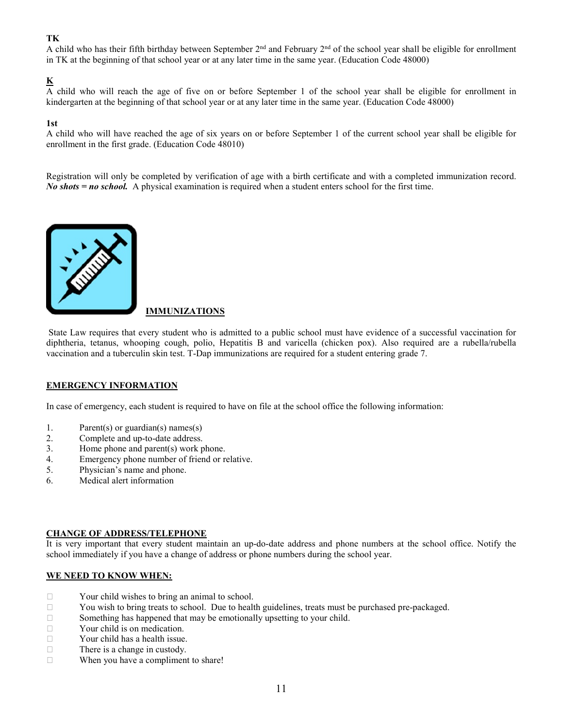### **TK**

A child who has their fifth birthday between September 2<sup>nd</sup> and February 2<sup>nd</sup> of the school year shall be eligible for enrollment in TK at the beginning of that school year or at any later time in the same year. (Education Code 48000)

### **K**

 $\overline{A}$  child who will reach the age of five on or before September 1 of the school year shall be eligible for enrollment in kindergarten at the beginning of that school year or at any later time in the same year. (Education Code 48000)

#### **1st**

A child who will have reached the age of six years on or before September 1 of the current school year shall be eligible for enrollment in the first grade. (Education Code 48010)

Registration will only be completed by verification of age with a birth certificate and with a completed immunization record. *No shots = no school.* A physical examination is required when a student enters school for the first time.



#### **IMMUNIZATIONS**

State Law requires that every student who is admitted to a public school must have evidence of a successful vaccination for diphtheria, tetanus, whooping cough, polio, Hepatitis B and varicella (chicken pox). Also required are a rubella/rubella vaccination and a tuberculin skin test. T-Dap immunizations are required for a student entering grade 7.

#### **EMERGENCY INFORMATION**

In case of emergency, each student is required to have on file at the school office the following information:

- 1. Parent(s) or guardian(s) names(s)
- 2. Complete and up-to-date address.
- 3. Home phone and parent(s) work phone.
- 4. Emergency phone number of friend or relative.
- 5. Physician's name and phone.
- 6. Medical alert information

#### **CHANGE OF ADDRESS/TELEPHONE**

It is very important that every student maintain an up-do-date address and phone numbers at the school office. Notify the school immediately if you have a change of address or phone numbers during the school year.

#### **WE NEED TO KNOW WHEN:**

- □ Your child wishes to bring an animal to school.
- $\Box$  You wish to bring treats to school. Due to health guidelines, treats must be purchased pre-packaged.
- $\Box$  Something has happened that may be emotionally upsetting to your child.
- **Example 3** Your child is on medication.
- $\Box$  Your child has a health issue.
- □ There is a change in custody.
- $\Box$  When you have a compliment to share!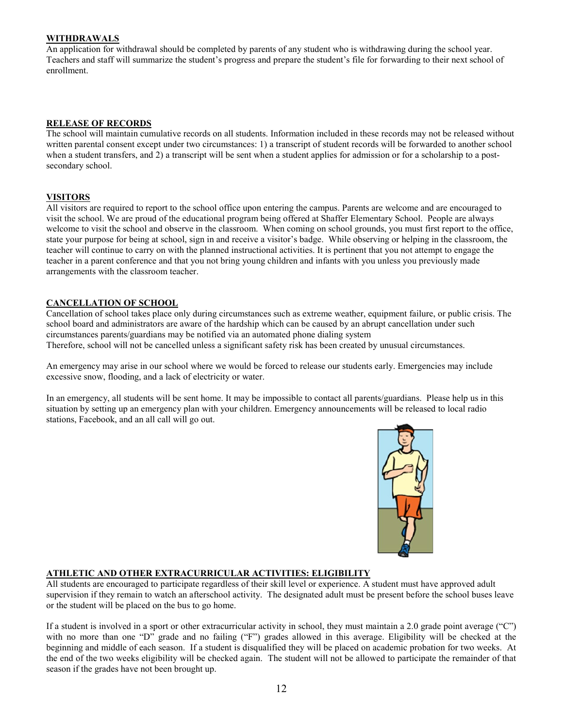#### **WITHDRAWALS**

An application for withdrawal should be completed by parents of any student who is withdrawing during the school year. Teachers and staff will summarize the student's progress and prepare the student's file for forwarding to their next school of enrollment.

#### **RELEASE OF RECORDS**

The school will maintain cumulative records on all students. Information included in these records may not be released without written parental consent except under two circumstances: 1) a transcript of student records will be forwarded to another school when a student transfers, and 2) a transcript will be sent when a student applies for admission or for a scholarship to a postsecondary school.

#### **VISITORS**

All visitors are required to report to the school office upon entering the campus. Parents are welcome and are encouraged to visit the school. We are proud of the educational program being offered at Shaffer Elementary School. People are always welcome to visit the school and observe in the classroom. When coming on school grounds, you must first report to the office, state your purpose for being at school, sign in and receive a visitor's badge. While observing or helping in the classroom, the teacher will continue to carry on with the planned instructional activities. It is pertinent that you not attempt to engage the teacher in a parent conference and that you not bring young children and infants with you unless you previously made arrangements with the classroom teacher.

#### **CANCELLATION OF SCHOOL**

Cancellation of school takes place only during circumstances such as extreme weather, equipment failure, or public crisis. The school board and administrators are aware of the hardship which can be caused by an abrupt cancellation under such circumstances parents/guardians may be notified via an automated phone dialing system Therefore, school will not be cancelled unless a significant safety risk has been created by unusual circumstances.

An emergency may arise in our school where we would be forced to release our students early. Emergencies may include excessive snow, flooding, and a lack of electricity or water.

In an emergency, all students will be sent home. It may be impossible to contact all parents/guardians. Please help us in this situation by setting up an emergency plan with your children. Emergency announcements will be released to local radio stations, Facebook, and an all call will go out.



#### **ATHLETIC AND OTHER EXTRACURRICULAR ACTIVITIES: ELIGIBILITY**

All students are encouraged to participate regardless of their skill level or experience. A student must have approved adult supervision if they remain to watch an afterschool activity. The designated adult must be present before the school buses leave or the student will be placed on the bus to go home.

If a student is involved in a sport or other extracurricular activity in school, they must maintain a 2.0 grade point average ("C") with no more than one "D" grade and no failing ("F") grades allowed in this average. Eligibility will be checked at the beginning and middle of each season. If a student is disqualified they will be placed on academic probation for two weeks. At the end of the two weeks eligibility will be checked again. The student will not be allowed to participate the remainder of that season if the grades have not been brought up.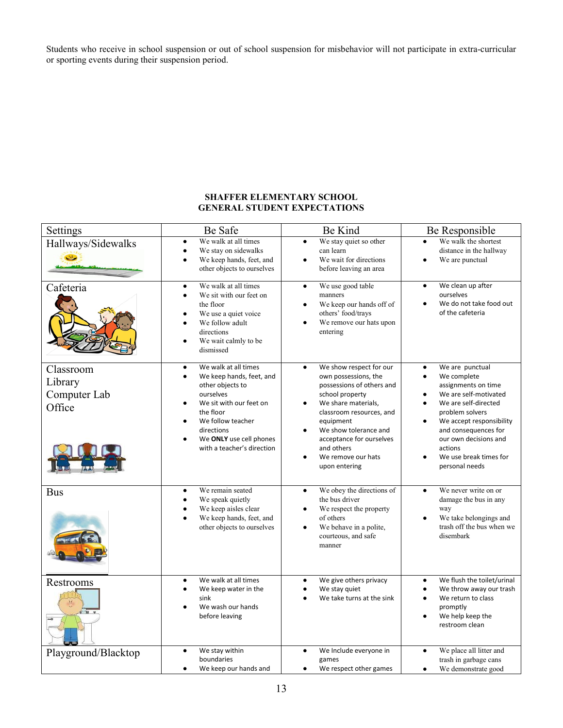Students who receive in school suspension or out of school suspension for misbehavior will not participate in extra-curricular or sporting events during their suspension period.

#### **SHAFFER ELEMENTARY SCHOOL GENERAL STUDENT EXPECTATIONS**

| Settings                                       | Be Safe                                                                                                                                                                                                                            | Be Kind                                                                                                                                                                                                                                                                                             | Be Responsible                                                                                                                                                                                                                                                                                                                              |
|------------------------------------------------|------------------------------------------------------------------------------------------------------------------------------------------------------------------------------------------------------------------------------------|-----------------------------------------------------------------------------------------------------------------------------------------------------------------------------------------------------------------------------------------------------------------------------------------------------|---------------------------------------------------------------------------------------------------------------------------------------------------------------------------------------------------------------------------------------------------------------------------------------------------------------------------------------------|
| Hallways/Sidewalks                             | We walk at all times<br>$\bullet$<br>We stay on sidewalks<br>We keep hands, feet, and<br>other objects to ourselves                                                                                                                | We stay quiet so other<br>$\bullet$<br>can learn<br>We wait for directions<br>before leaving an area                                                                                                                                                                                                | We walk the shortest<br>$\bullet$<br>distance in the hallway<br>We are punctual<br>$\bullet$                                                                                                                                                                                                                                                |
| Cafeteria                                      | We walk at all times<br>$\bullet$<br>We sit with our feet on<br>$\bullet$<br>the floor<br>We use a quiet voice<br>We follow adult<br>directions<br>We wait calmly to be<br>dismissed                                               | We use good table<br>$\bullet$<br>manners<br>We keep our hands off of<br>$\bullet$<br>others' food/trays<br>We remove our hats upon<br>$\bullet$<br>entering                                                                                                                                        | We clean up after<br>$\bullet$<br>ourselves<br>We do not take food out<br>$\bullet$<br>of the cafeteria                                                                                                                                                                                                                                     |
| Classroom<br>Library<br>Computer Lab<br>Office | We walk at all times<br>$\bullet$<br>We keep hands, feet, and<br>other objects to<br>ourselves<br>We sit with our feet on<br>the floor<br>We follow teacher<br>directions<br>We ONLY use cell phones<br>with a teacher's direction | We show respect for our<br>$\bullet$<br>own possessions, the<br>possessions of others and<br>school property<br>We share materials,<br>classroom resources, and<br>equipment<br>We show tolerance and<br>$\bullet$<br>acceptance for ourselves<br>and others<br>We remove our hats<br>upon entering | We are punctual<br>$\bullet$<br>We complete<br>$\bullet$<br>assignments on time<br>We are self-motivated<br>$\bullet$<br>We are self-directed<br>$\bullet$<br>problem solvers<br>We accept responsibility<br>$\bullet$<br>and consequences for<br>our own decisions and<br>actions<br>We use break times for<br>$\bullet$<br>personal needs |
| <b>Bus</b>                                     | We remain seated<br>$\bullet$<br>We speak quietly<br>We keep aisles clear<br>We keep hands, feet, and<br>other objects to ourselves                                                                                                | We obey the directions of<br>$\bullet$<br>the bus driver<br>We respect the property<br>٠<br>of others<br>We behave in a polite,<br>$\bullet$<br>courteous, and safe<br>manner                                                                                                                       | We never write on or<br>$\bullet$<br>damage the bus in any<br>way<br>We take belongings and<br>$\bullet$<br>trash off the bus when we<br>disembark                                                                                                                                                                                          |
| Restrooms                                      | We walk at all times<br>$\bullet$<br>We keep water in the<br>sink<br>We wash our hands<br>before leaving                                                                                                                           | We give others privacy<br>$\bullet$<br>We stay quiet<br>$\bullet$<br>We take turns at the sink                                                                                                                                                                                                      | We flush the toilet/urinal<br>$\bullet$<br>We throw away our trash<br>$\bullet$<br>We return to class<br>$\bullet$<br>promptly<br>We help keep the<br>$\bullet$<br>restroom clean                                                                                                                                                           |
| Playground/Blacktop                            | We stay within<br>boundaries<br>We keep our hands and                                                                                                                                                                              | We Include everyone in<br>$\bullet$<br>games<br>We respect other games                                                                                                                                                                                                                              | We place all litter and<br>$\bullet$<br>trash in garbage cans<br>We demonstrate good                                                                                                                                                                                                                                                        |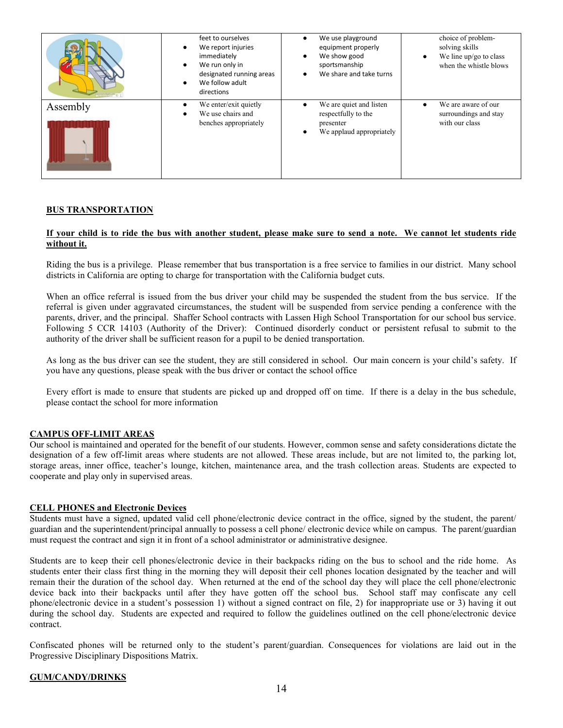|          | feet to ourselves<br>We report injuries<br>immediately<br>We run only in<br>$\bullet$<br>designated running areas<br>We follow adult<br>directions | We use playground<br>equipment properly<br>We show good<br>sportsmanship<br>We share and take turns | choice of problem-<br>solving skills<br>We line up/go to class<br>when the whistle blows |
|----------|----------------------------------------------------------------------------------------------------------------------------------------------------|-----------------------------------------------------------------------------------------------------|------------------------------------------------------------------------------------------|
| Assembly | We enter/exit quietly<br>We use chairs and<br>benches appropriately                                                                                | We are quiet and listen<br>respectfully to the<br>presenter<br>We applaud appropriately             | We are aware of our<br>surroundings and stay<br>with our class                           |

#### **BUS TRANSPORTATION**

#### **If your child is to ride the bus with another student, please make sure to send a note. We cannot let students ride without it.**

Riding the bus is a privilege. Please remember that bus transportation is a free service to families in our district. Many school districts in California are opting to charge for transportation with the California budget cuts.

When an office referral is issued from the bus driver your child may be suspended the student from the bus service. If the referral is given under aggravated circumstances, the student will be suspended from service pending a conference with the parents, driver, and the principal. Shaffer School contracts with Lassen High School Transportation for our school bus service. Following 5 CCR 14103 (Authority of the Driver): Continued disorderly conduct or persistent refusal to submit to the authority of the driver shall be sufficient reason for a pupil to be denied transportation.

As long as the bus driver can see the student, they are still considered in school. Our main concern is your child's safety. If you have any questions, please speak with the bus driver or contact the school office

Every effort is made to ensure that students are picked up and dropped off on time. If there is a delay in the bus schedule, please contact the school for more information

#### **CAMPUS OFF-LIMIT AREAS**

Our school is maintained and operated for the benefit of our students. However, common sense and safety considerations dictate the designation of a few off-limit areas where students are not allowed. These areas include, but are not limited to, the parking lot, storage areas, inner office, teacher's lounge, kitchen, maintenance area, and the trash collection areas. Students are expected to cooperate and play only in supervised areas.

#### **CELL PHONES and Electronic Devices**

Students must have a signed, updated valid cell phone/electronic device contract in the office, signed by the student, the parent/ guardian and the superintendent/principal annually to possess a cell phone/ electronic device while on campus. The parent/guardian must request the contract and sign it in front of a school administrator or administrative designee.

Students are to keep their cell phones/electronic device in their backpacks riding on the bus to school and the ride home. As students enter their class first thing in the morning they will deposit their cell phones location designated by the teacher and will remain their the duration of the school day. When returned at the end of the school day they will place the cell phone/electronic device back into their backpacks until after they have gotten off the school bus. School staff may confiscate any cell phone/electronic device in a student's possession 1) without a signed contract on file, 2) for inappropriate use or 3) having it out during the school day. Students are expected and required to follow the guidelines outlined on the cell phone/electronic device contract.

Confiscated phones will be returned only to the student's parent/guardian. Consequences for violations are laid out in the Progressive Disciplinary Dispositions Matrix.

#### **GUM/CANDY/DRINKS**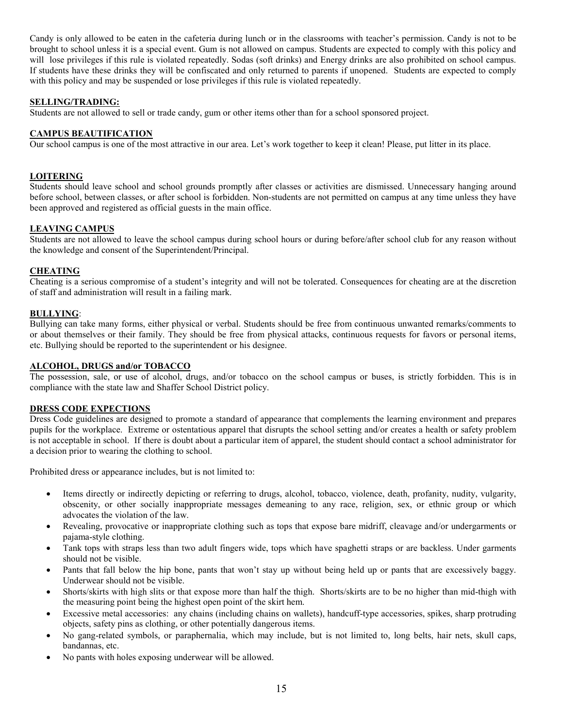Candy is only allowed to be eaten in the cafeteria during lunch or in the classrooms with teacher's permission. Candy is not to be brought to school unless it is a special event. Gum is not allowed on campus. Students are expected to comply with this policy and will lose privileges if this rule is violated repeatedly. Sodas (soft drinks) and Energy drinks are also prohibited on school campus. If students have these drinks they will be confiscated and only returned to parents if unopened. Students are expected to comply with this policy and may be suspended or lose privileges if this rule is violated repeatedly.

#### **SELLING/TRADING:**

Students are not allowed to sell or trade candy, gum or other items other than for a school sponsored project.

#### **CAMPUS BEAUTIFICATION**

Our school campus is one of the most attractive in our area. Let's work together to keep it clean! Please, put litter in its place.

#### **LOITERING**

Students should leave school and school grounds promptly after classes or activities are dismissed. Unnecessary hanging around before school, between classes, or after school is forbidden. Non-students are not permitted on campus at any time unless they have been approved and registered as official guests in the main office.

#### **LEAVING CAMPUS**

Students are not allowed to leave the school campus during school hours or during before/after school club for any reason without the knowledge and consent of the Superintendent/Principal.

#### **CHEATING**

Cheating is a serious compromise of a student's integrity and will not be tolerated. Consequences for cheating are at the discretion of staff and administration will result in a failing mark.

#### **BULLYING**:

Bullying can take many forms, either physical or verbal. Students should be free from continuous unwanted remarks/comments to or about themselves or their family. They should be free from physical attacks, continuous requests for favors or personal items, etc. Bullying should be reported to the superintendent or his designee.

#### **ALCOHOL, DRUGS and/or TOBACCO**

The possession, sale, or use of alcohol, drugs, and/or tobacco on the school campus or buses, is strictly forbidden. This is in compliance with the state law and Shaffer School District policy.

#### **DRESS CODE EXPECTIONS**

Dress Code guidelines are designed to promote a standard of appearance that complements the learning environment and prepares pupils for the workplace. Extreme or ostentatious apparel that disrupts the school setting and/or creates a health or safety problem is not acceptable in school. If there is doubt about a particular item of apparel, the student should contact a school administrator for a decision prior to wearing the clothing to school.

Prohibited dress or appearance includes, but is not limited to:

- Items directly or indirectly depicting or referring to drugs, alcohol, tobacco, violence, death, profanity, nudity, vulgarity, obscenity, or other socially inappropriate messages demeaning to any race, religion, sex, or ethnic group or which advocates the violation of the law.
- Revealing, provocative or inappropriate clothing such as tops that expose bare midriff, cleavage and/or undergarments or pajama-style clothing.
- Tank tops with straps less than two adult fingers wide, tops which have spaghetti straps or are backless. Under garments should not be visible.
- Pants that fall below the hip bone, pants that won't stay up without being held up or pants that are excessively baggy. Underwear should not be visible.
- Shorts/skirts with high slits or that expose more than half the thigh. Shorts/skirts are to be no higher than mid-thigh with the measuring point being the highest open point of the skirt hem.
- Excessive metal accessories: any chains (including chains on wallets), handcuff-type accessories, spikes, sharp protruding objects, safety pins as clothing, or other potentially dangerous items.
- No gang-related symbols, or paraphernalia, which may include, but is not limited to, long belts, hair nets, skull caps, bandannas, etc.
- No pants with holes exposing underwear will be allowed.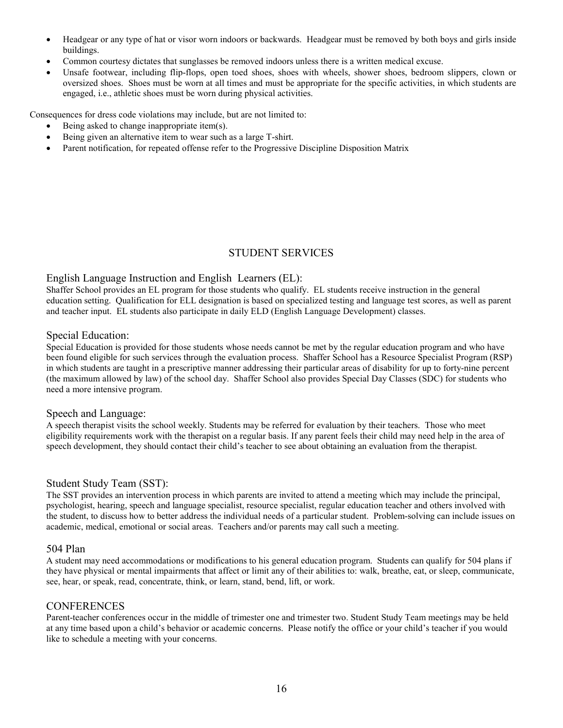- Headgear or any type of hat or visor worn indoors or backwards. Headgear must be removed by both boys and girls inside buildings.
- Common courtesy dictates that sunglasses be removed indoors unless there is a written medical excuse.
- Unsafe footwear, including flip-flops, open toed shoes, shoes with wheels, shower shoes, bedroom slippers, clown or oversized shoes. Shoes must be worn at all times and must be appropriate for the specific activities, in which students are engaged, i.e., athletic shoes must be worn during physical activities.

Consequences for dress code violations may include, but are not limited to:

- Being asked to change inappropriate item(s).
- Being given an alternative item to wear such as a large T-shirt.
- Parent notification, for repeated offense refer to the Progressive Discipline Disposition Matrix

### STUDENT SERVICES

#### English Language Instruction and English Learners (EL):

Shaffer School provides an EL program for those students who qualify. EL students receive instruction in the general education setting. Qualification for ELL designation is based on specialized testing and language test scores, as well as parent and teacher input. EL students also participate in daily ELD (English Language Development) classes.

#### Special Education:

Special Education is provided for those students whose needs cannot be met by the regular education program and who have been found eligible for such services through the evaluation process. Shaffer School has a Resource Specialist Program (RSP) in which students are taught in a prescriptive manner addressing their particular areas of disability for up to forty-nine percent (the maximum allowed by law) of the school day. Shaffer School also provides Special Day Classes (SDC) for students who need a more intensive program.

#### Speech and Language:

A speech therapist visits the school weekly. Students may be referred for evaluation by their teachers. Those who meet eligibility requirements work with the therapist on a regular basis. If any parent feels their child may need help in the area of speech development, they should contact their child's teacher to see about obtaining an evaluation from the therapist.

#### Student Study Team (SST):

The SST provides an intervention process in which parents are invited to attend a meeting which may include the principal, psychologist, hearing, speech and language specialist, resource specialist, regular education teacher and others involved with the student, to discuss how to better address the individual needs of a particular student. Problem-solving can include issues on academic, medical, emotional or social areas. Teachers and/or parents may call such a meeting.

#### 504 Plan

A student may need accommodations or modifications to his general education program. Students can qualify for 504 plans if they have physical or mental impairments that affect or limit any of their abilities to: walk, breathe, eat, or sleep, communicate, see, hear, or speak, read, concentrate, think, or learn, stand, bend, lift, or work.

#### **CONFERENCES**

Parent-teacher conferences occur in the middle of trimester one and trimester two. Student Study Team meetings may be held at any time based upon a child's behavior or academic concerns. Please notify the office or your child's teacher if you would like to schedule a meeting with your concerns.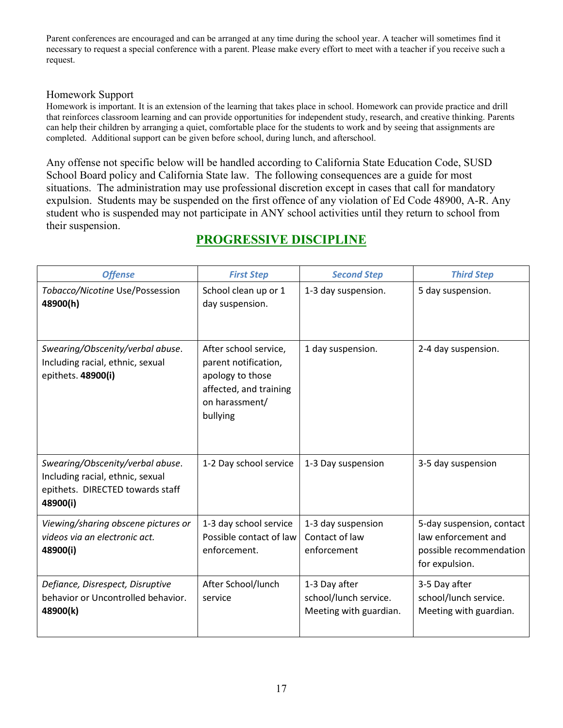Parent conferences are encouraged and can be arranged at any time during the school year. A teacher will sometimes find it necessary to request a special conference with a parent. Please make every effort to meet with a teacher if you receive such a request.

### Homework Support

Homework is important. It is an extension of the learning that takes place in school. Homework can provide practice and drill that reinforces classroom learning and can provide opportunities for independent study, research, and creative thinking. Parents can help their children by arranging a quiet, comfortable place for the students to work and by seeing that assignments are completed. Additional support can be given before school, during lunch, and afterschool.

Any offense not specific below will be handled according to California State Education Code, SUSD School Board policy and California State law. The following consequences are a guide for most situations. The administration may use professional discretion except in cases that call for mandatory expulsion. Students may be suspended on the first offence of any violation of Ed Code 48900, A-R. Any student who is suspended may not participate in ANY school activities until they return to school from their suspension.

| <b>Offense</b>                                                                                                       | <b>First Step</b>                                                                                                         | <b>Second Step</b>                                               | <b>Third Step</b>                                                                             |
|----------------------------------------------------------------------------------------------------------------------|---------------------------------------------------------------------------------------------------------------------------|------------------------------------------------------------------|-----------------------------------------------------------------------------------------------|
| Tobacco/Nicotine Use/Possession<br>48900(h)                                                                          | School clean up or 1<br>day suspension.                                                                                   | 1-3 day suspension.                                              | 5 day suspension.                                                                             |
| Swearing/Obscenity/verbal abuse.<br>Including racial, ethnic, sexual<br>epithets. 48900(i)                           | After school service,<br>parent notification,<br>apology to those<br>affected, and training<br>on harassment/<br>bullying | 1 day suspension.                                                | 2-4 day suspension.                                                                           |
| Swearing/Obscenity/verbal abuse.<br>Including racial, ethnic, sexual<br>epithets. DIRECTED towards staff<br>48900(i) | 1-2 Day school service                                                                                                    | 1-3 Day suspension                                               | 3-5 day suspension                                                                            |
| Viewing/sharing obscene pictures or<br>videos via an electronic act.<br>48900(i)                                     | 1-3 day school service<br>Possible contact of law<br>enforcement.                                                         | 1-3 day suspension<br>Contact of law<br>enforcement              | 5-day suspension, contact<br>law enforcement and<br>possible recommendation<br>for expulsion. |
| Defiance, Disrespect, Disruptive<br>behavior or Uncontrolled behavior.<br>48900(k)                                   | After School/lunch<br>service                                                                                             | 1-3 Day after<br>school/lunch service.<br>Meeting with guardian. | 3-5 Day after<br>school/lunch service.<br>Meeting with guardian.                              |

### **PROGRESSIVE DISCIPLINE**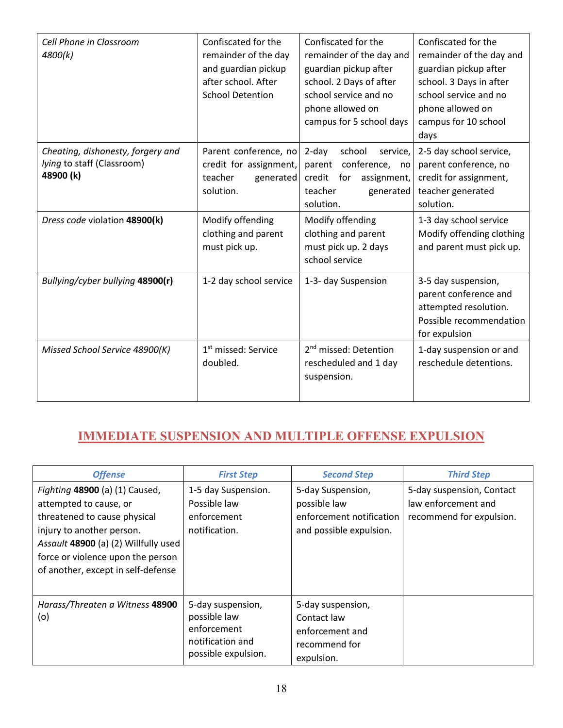| Cell Phone in Classroom<br>4800(k)                                           | Confiscated for the<br>remainder of the day<br>and guardian pickup<br>after school. After<br><b>School Detention</b> | Confiscated for the<br>remainder of the day and<br>guardian pickup after<br>school. 2 Days of after<br>school service and no<br>phone allowed on<br>campus for 5 school days | Confiscated for the<br>remainder of the day and<br>guardian pickup after<br>school. 3 Days in after<br>school service and no<br>phone allowed on<br>campus for 10 school<br>days |
|------------------------------------------------------------------------------|----------------------------------------------------------------------------------------------------------------------|------------------------------------------------------------------------------------------------------------------------------------------------------------------------------|----------------------------------------------------------------------------------------------------------------------------------------------------------------------------------|
| Cheating, dishonesty, forgery and<br>lying to staff (Classroom)<br>48900 (k) | Parent conference, no<br>credit for assignment,<br>teacher<br>generated<br>solution.                                 | $2$ -day<br>school<br>service,<br>parent conference, no<br>credit for<br>assignment,<br>teacher<br>generated<br>solution.                                                    | 2-5 day school service,<br>parent conference, no<br>credit for assignment,<br>teacher generated<br>solution.                                                                     |
| Dress code violation 48900(k)                                                | Modify offending<br>clothing and parent<br>must pick up.                                                             | Modify offending<br>clothing and parent<br>must pick up. 2 days<br>school service                                                                                            | 1-3 day school service<br>Modify offending clothing<br>and parent must pick up.                                                                                                  |
| Bullying/cyber bullying 48900(r)                                             | 1-2 day school service                                                                                               | 1-3- day Suspension                                                                                                                                                          | 3-5 day suspension,<br>parent conference and<br>attempted resolution.<br>Possible recommendation<br>for expulsion                                                                |
| Missed School Service 48900(K)                                               | 1 <sup>st</sup> missed: Service<br>doubled.                                                                          | 2 <sup>nd</sup> missed: Detention<br>rescheduled and 1 day<br>suspension.                                                                                                    | 1-day suspension or and<br>reschedule detentions.                                                                                                                                |

## **IMMEDIATE SUSPENSION AND MULTIPLE OFFENSE EXPULSION**

| <b>Offense</b>                                                                                                                                                                                                                           | <b>First Step</b>                                                                           | <b>Second Step</b>                                                                       | <b>Third Step</b>                                                            |
|------------------------------------------------------------------------------------------------------------------------------------------------------------------------------------------------------------------------------------------|---------------------------------------------------------------------------------------------|------------------------------------------------------------------------------------------|------------------------------------------------------------------------------|
| Fighting 48900 (a) (1) Caused,<br>attempted to cause, or<br>threatened to cause physical<br>injury to another person.<br>Assault 48900 (a) (2) Willfully used<br>force or violence upon the person<br>of another, except in self-defense | 1-5 day Suspension.<br>Possible law<br>enforcement<br>notification.                         | 5-day Suspension,<br>possible law<br>enforcement notification<br>and possible expulsion. | 5-day suspension, Contact<br>law enforcement and<br>recommend for expulsion. |
| Harass/Threaten a Witness 48900<br>(o)                                                                                                                                                                                                   | 5-day suspension,<br>possible law<br>enforcement<br>notification and<br>possible expulsion. | 5-day suspension,<br>Contact law<br>enforcement and<br>recommend for<br>expulsion.       |                                                                              |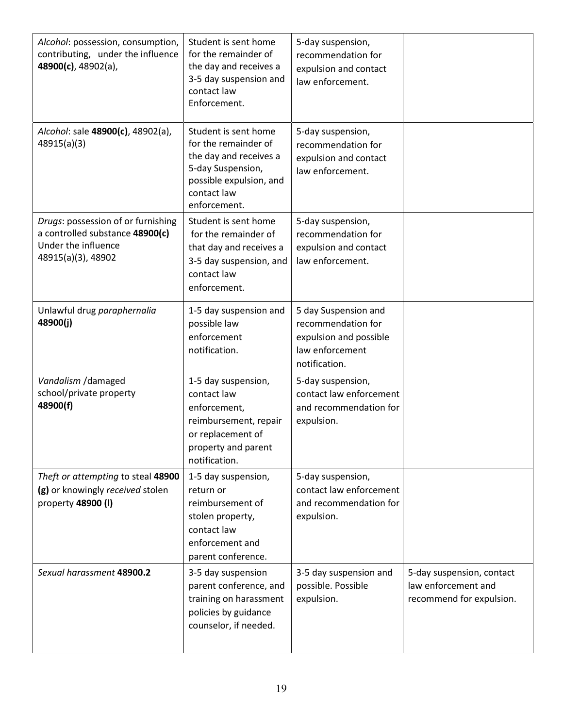| Alcohol: possession, consumption,<br>contributing, under the influence<br>48900(c), 48902(a),                      | Student is sent home<br>for the remainder of<br>the day and receives a<br>3-5 day suspension and<br>contact law<br>Enforcement.                       | 5-day suspension,<br>recommendation for<br>expulsion and contact<br>law enforcement.                     |                                                                              |
|--------------------------------------------------------------------------------------------------------------------|-------------------------------------------------------------------------------------------------------------------------------------------------------|----------------------------------------------------------------------------------------------------------|------------------------------------------------------------------------------|
| Alcohol: sale 48900(c), 48902(a),<br>48915(a)(3)                                                                   | Student is sent home<br>for the remainder of<br>the day and receives a<br>5-day Suspension,<br>possible expulsion, and<br>contact law<br>enforcement. | 5-day suspension,<br>recommendation for<br>expulsion and contact<br>law enforcement.                     |                                                                              |
| Drugs: possession of or furnishing<br>a controlled substance 48900(c)<br>Under the influence<br>48915(a)(3), 48902 | Student is sent home<br>for the remainder of<br>that day and receives a<br>3-5 day suspension, and<br>contact law<br>enforcement.                     | 5-day suspension,<br>recommendation for<br>expulsion and contact<br>law enforcement.                     |                                                                              |
| Unlawful drug paraphernalia<br>48900(j)                                                                            | 1-5 day suspension and<br>possible law<br>enforcement<br>notification.                                                                                | 5 day Suspension and<br>recommendation for<br>expulsion and possible<br>law enforcement<br>notification. |                                                                              |
| Vandalism / damaged<br>school/private property<br>48900(f)                                                         | 1-5 day suspension,<br>contact law<br>enforcement,<br>reimbursement, repair<br>or replacement of<br>property and parent<br>notification.              | 5-day suspension,<br>contact law enforcement<br>and recommendation for<br>expulsion.                     |                                                                              |
| Theft or attempting to steal 48900<br>(g) or knowingly received stolen<br>property 48900 (I)                       | 1-5 day suspension,<br>return or<br>reimbursement of<br>stolen property,<br>contact law<br>enforcement and<br>parent conference.                      | 5-day suspension,<br>contact law enforcement<br>and recommendation for<br>expulsion.                     |                                                                              |
| Sexual harassment 48900.2                                                                                          | 3-5 day suspension<br>parent conference, and<br>training on harassment<br>policies by guidance<br>counselor, if needed.                               | 3-5 day suspension and<br>possible. Possible<br>expulsion.                                               | 5-day suspension, contact<br>law enforcement and<br>recommend for expulsion. |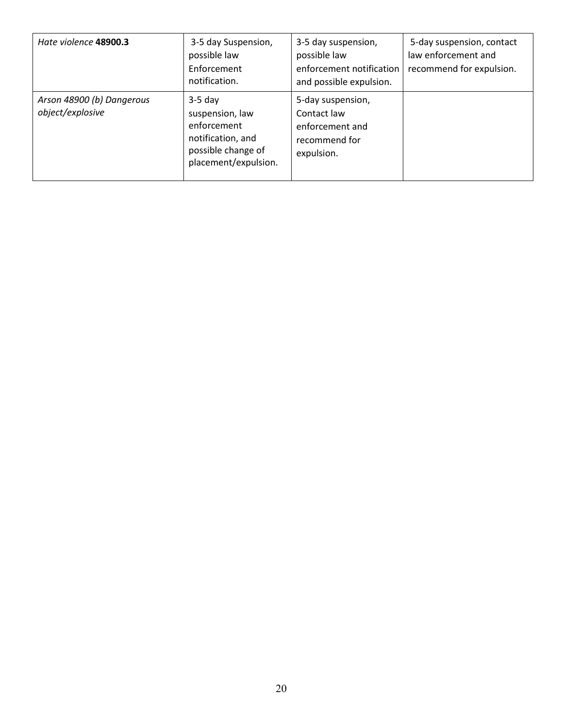| Hate violence 48900.3                         | 3-5 day Suspension,<br>possible law<br>Enforcement<br>notification.                                            | 3-5 day suspension,<br>possible law<br>enforcement notification<br>and possible expulsion. | 5-day suspension, contact<br>law enforcement and<br>recommend for expulsion. |
|-----------------------------------------------|----------------------------------------------------------------------------------------------------------------|--------------------------------------------------------------------------------------------|------------------------------------------------------------------------------|
| Arson 48900 (b) Dangerous<br>object/explosive | $3-5$ day<br>suspension, law<br>enforcement<br>notification, and<br>possible change of<br>placement/expulsion. | 5-day suspension,<br>Contact law<br>enforcement and<br>recommend for<br>expulsion.         |                                                                              |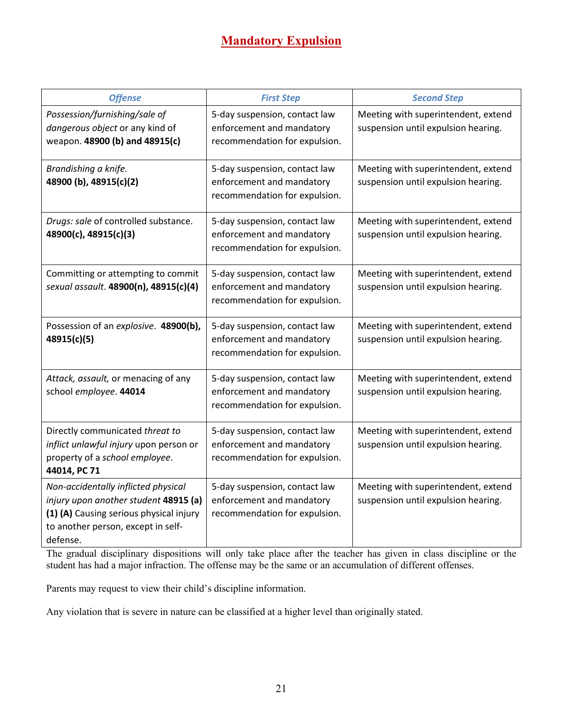## **Mandatory Expulsion**

| <b>Offense</b>                                                                                                                                                            | <b>First Step</b>                                                                           | <b>Second Step</b>                                                         |
|---------------------------------------------------------------------------------------------------------------------------------------------------------------------------|---------------------------------------------------------------------------------------------|----------------------------------------------------------------------------|
| Possession/furnishing/sale of<br>dangerous object or any kind of<br>weapon. 48900 (b) and 48915(c)                                                                        | 5-day suspension, contact law<br>enforcement and mandatory<br>recommendation for expulsion. | Meeting with superintendent, extend<br>suspension until expulsion hearing. |
| Brandishing a knife.<br>48900 (b), 48915(c)(2)                                                                                                                            | 5-day suspension, contact law<br>enforcement and mandatory<br>recommendation for expulsion. | Meeting with superintendent, extend<br>suspension until expulsion hearing. |
| Drugs: sale of controlled substance.<br>48900(c), 48915(c)(3)                                                                                                             | 5-day suspension, contact law<br>enforcement and mandatory<br>recommendation for expulsion. | Meeting with superintendent, extend<br>suspension until expulsion hearing. |
| Committing or attempting to commit<br>sexual assault. 48900(n), 48915(c)(4)                                                                                               | 5-day suspension, contact law<br>enforcement and mandatory<br>recommendation for expulsion. | Meeting with superintendent, extend<br>suspension until expulsion hearing. |
| Possession of an explosive. 48900(b),<br>48915(c)(5)                                                                                                                      | 5-day suspension, contact law<br>enforcement and mandatory<br>recommendation for expulsion. | Meeting with superintendent, extend<br>suspension until expulsion hearing. |
| Attack, assault, or menacing of any<br>school employee. 44014                                                                                                             | 5-day suspension, contact law<br>enforcement and mandatory<br>recommendation for expulsion. | Meeting with superintendent, extend<br>suspension until expulsion hearing. |
| Directly communicated threat to<br>inflict unlawful injury upon person or<br>property of a school employee.<br>44014, PC 71                                               | 5-day suspension, contact law<br>enforcement and mandatory<br>recommendation for expulsion. | Meeting with superintendent, extend<br>suspension until expulsion hearing. |
| Non-accidentally inflicted physical<br>injury upon another student 48915 (a)<br>(1) (A) Causing serious physical injury<br>to another person, except in self-<br>defense. | 5-day suspension, contact law<br>enforcement and mandatory<br>recommendation for expulsion. | Meeting with superintendent, extend<br>suspension until expulsion hearing. |

The gradual disciplinary dispositions will only take place after the teacher has given in class discipline or the student has had a major infraction. The offense may be the same or an accumulation of different offenses.

Parents may request to view their child's discipline information.

Any violation that is severe in nature can be classified at a higher level than originally stated.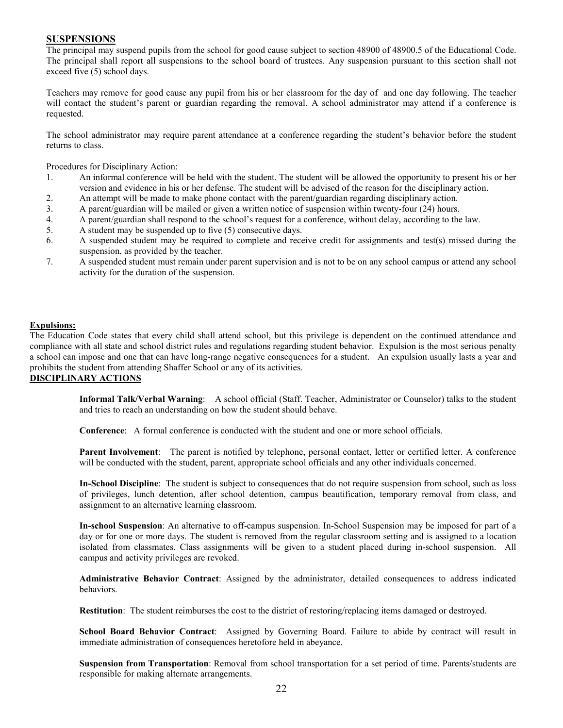#### **SUSPENSIONS**

The principal may suspend pupils from the school for good cause subject to section 48900 of 48900.5 of the Educational Code. The principal shall report all suspensions to the school board of trustees. Any suspension pursuant to this section shall not exceed five (5) school days.

Teachers may remove for good cause any pupil from his or her classroom for the day of and one day following. The teacher will contact the student's parent or guardian regarding the removal. A school administrator may attend if a conference is requested.

The school administrator may require parent attendance at a conference regarding the student's behavior before the student returns to class.

Procedures for Disciplinary Action:

- 1. An informal conference will be held with the student. The student will be allowed the opportunity to present his or her version and evidence in his or her defense. The student will be advised of the reason for the disciplinary action.
- 2. An attempt will be made to make phone contact with the parent/guardian regarding disciplinary action.
- 3. A parent/guardian will be mailed or given a written notice of suspension within twenty-four (24) hours.
- 4. A parent/guardian shall respond to the school's request for a conference, without delay, according to the law.
- 5. A student may be suspended up to five (5) consecutive days.
- 6. A suspended student may be required to complete and receive credit for assignments and test(s) missed during the suspension, as provided by the teacher.
- 7. A suspended student must remain under parent supervision and is not to be on any school campus or attend any school activity for the duration of the suspension.

#### **Expulsions:**

The Education Code states that every child shall attend school, but this privilege is dependent on the continued attendance and compliance with all state and school district rules and regulations regarding student behavior. Expulsion is the most serious penalty a school can impose and one that can have long-range negative consequences for a student. An expulsion usually lasts a year and prohibits the student from attending Shaffer School or any of its activities.

#### **DISCIPLINARY ACTIONS**

**Informal Talk/Verbal Warning**: A school official (Staff. Teacher, Administrator or Counselor) talks to the student and tries to reach an understanding on how the student should behave.

**Conference**: A formal conference is conducted with the student and one or more school officials.

Parent Involvement: The parent is notified by telephone, personal contact, letter or certified letter. A conference will be conducted with the student, parent, appropriate school officials and any other individuals concerned.

**In-School Discipline**: The student is subject to consequences that do not require suspension from school, such as loss of privileges, lunch detention, after school detention, campus beautification, temporary removal from class, and assignment to an alternative learning classroom.

**In-school Suspension**: An alternative to off-campus suspension. In-School Suspension may be imposed for part of a day or for one or more days. The student is removed from the regular classroom setting and is assigned to a location isolated from classmates. Class assignments will be given to a student placed during in-school suspension. All campus and activity privileges are revoked.

**Administrative Behavior Contract**: Assigned by the administrator, detailed consequences to address indicated behaviors.

**Restitution**: The student reimburses the cost to the district of restoring/replacing items damaged or destroyed.

**School Board Behavior Contract**: Assigned by Governing Board. Failure to abide by contract will result in immediate administration of consequences heretofore held in abeyance.

**Suspension from Transportation**: Removal from school transportation for a set period of time. Parents/students are responsible for making alternate arrangements.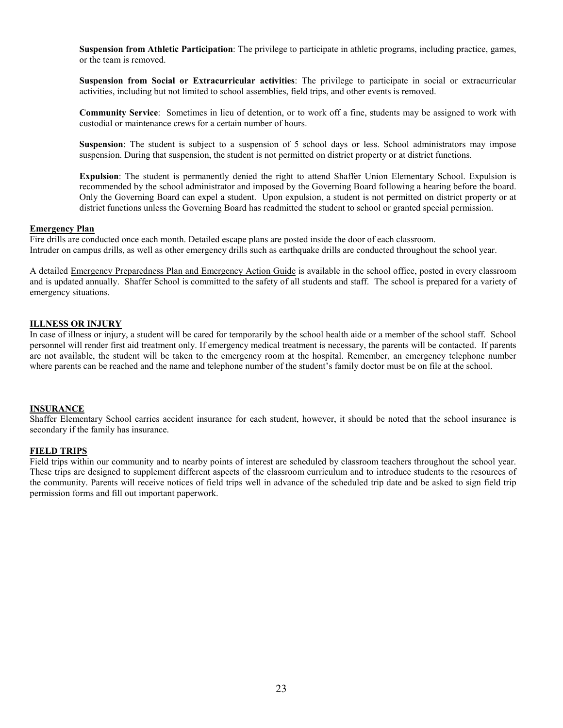**Suspension from Athletic Participation**: The privilege to participate in athletic programs, including practice, games, or the team is removed.

**Suspension from Social or Extracurricular activities**: The privilege to participate in social or extracurricular activities, including but not limited to school assemblies, field trips, and other events is removed.

**Community Service**: Sometimes in lieu of detention, or to work off a fine, students may be assigned to work with custodial or maintenance crews for a certain number of hours.

**Suspension**: The student is subject to a suspension of 5 school days or less. School administrators may impose suspension. During that suspension, the student is not permitted on district property or at district functions.

**Expulsion**: The student is permanently denied the right to attend Shaffer Union Elementary School. Expulsion is recommended by the school administrator and imposed by the Governing Board following a hearing before the board. Only the Governing Board can expel a student. Upon expulsion, a student is not permitted on district property or at district functions unless the Governing Board has readmitted the student to school or granted special permission.

#### **Emergency Plan**

Fire drills are conducted once each month. Detailed escape plans are posted inside the door of each classroom. Intruder on campus drills, as well as other emergency drills such as earthquake drills are conducted throughout the school year.

A detailed Emergency Preparedness Plan and Emergency Action Guide is available in the school office, posted in every classroom and is updated annually. Shaffer School is committed to the safety of all students and staff. The school is prepared for a variety of emergency situations.

#### **ILLNESS OR INJURY**

In case of illness or injury, a student will be cared for temporarily by the school health aide or a member of the school staff. School personnel will render first aid treatment only. If emergency medical treatment is necessary, the parents will be contacted. If parents are not available, the student will be taken to the emergency room at the hospital. Remember, an emergency telephone number where parents can be reached and the name and telephone number of the student's family doctor must be on file at the school.

#### **INSURANCE**

Shaffer Elementary School carries accident insurance for each student, however, it should be noted that the school insurance is secondary if the family has insurance.

#### **FIELD TRIPS**

Field trips within our community and to nearby points of interest are scheduled by classroom teachers throughout the school year. These trips are designed to supplement different aspects of the classroom curriculum and to introduce students to the resources of the community. Parents will receive notices of field trips well in advance of the scheduled trip date and be asked to sign field trip permission forms and fill out important paperwork.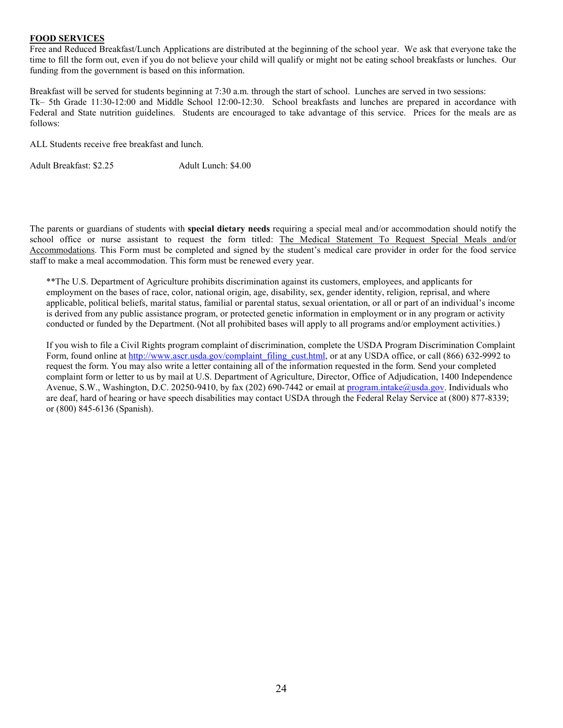#### **FOOD SERVICES**

Free and Reduced Breakfast/Lunch Applications are distributed at the beginning of the school year. We ask that everyone take the time to fill the form out, even if you do not believe your child will qualify or might not be eating school breakfasts or lunches. Our funding from the government is based on this information.

Breakfast will be served for students beginning at 7:30 a.m. through the start of school. Lunches are served in two sessions: Tk– 5th Grade 11:30-12:00 and Middle School 12:00-12:30. School breakfasts and lunches are prepared in accordance with Federal and State nutrition guidelines. Students are encouraged to take advantage of this service. Prices for the meals are as follows:

ALL Students receive free breakfast and lunch.

Adult Breakfast: \$2.25 Adult Lunch: \$4.00

The parents or guardians of students with **special dietary needs** requiring a special meal and/or accommodation should notify the school office or nurse assistant to request the form titled: The Medical Statement To Request Special Meals and/or Accommodations. This Form must be completed and signed by the student's medical care provider in order for the food service staff to make a meal accommodation. This form must be renewed every year.

\*\*The U.S. Department of Agriculture prohibits discrimination against its customers, employees, and applicants for employment on the bases of race, color, national origin, age, disability, sex, gender identity, religion, reprisal, and where applicable, political beliefs, marital status, familial or parental status, sexual orientation, or all or part of an individual's income is derived from any public assistance program, or protected genetic information in employment or in any program or activity conducted or funded by the Department. (Not all prohibited bases will apply to all programs and/or employment activities.)

If you wish to file a Civil Rights program complaint of discrimination, complete the USDA Program Discrimination Complaint Form, found online at [http://www.ascr.usda.gov/complaint\\_filing\\_cust.html,](http://www.ascr.usda.gov/complaint_filing_cust.html) or at any USDA office, or call (866) 632-9992 to request the form. You may also write a letter containing all of the information requested in the form. Send your completed complaint form or letter to us by mail at U.S. Department of Agriculture, Director, Office of Adjudication, 1400 Independence Avenue, S.W., Washington, D.C. 20250-9410, by fax (202) 690-7442 or email a[t program.intake@usda.gov.](mailto:program.intake@usda.gov) Individuals who are deaf, hard of hearing or have speech disabilities may contact USDA through the Federal Relay Service at (800) 877-8339; or (800) 845-6136 (Spanish).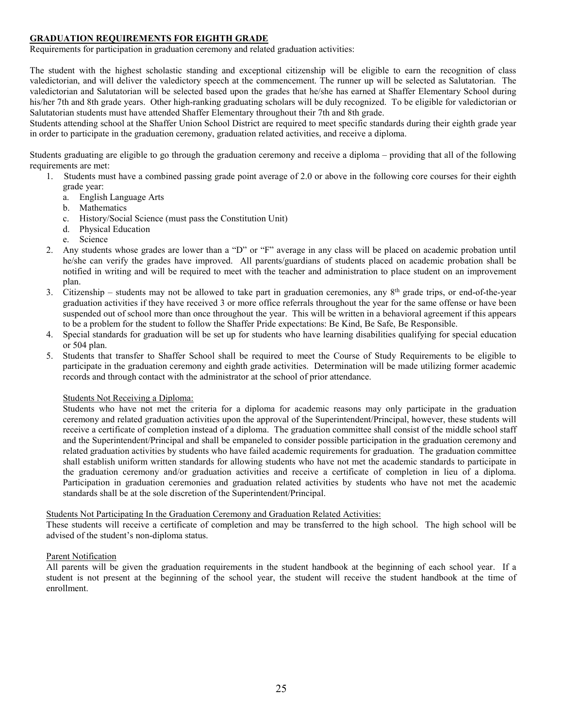#### **GRADUATION REQUIREMENTS FOR EIGHTH GRADE**

Requirements for participation in graduation ceremony and related graduation activities:

The student with the highest scholastic standing and exceptional citizenship will be eligible to earn the recognition of class valedictorian, and will deliver the valedictory speech at the commencement. The runner up will be selected as Salutatorian. The valedictorian and Salutatorian will be selected based upon the grades that he/she has earned at Shaffer Elementary School during his/her 7th and 8th grade years. Other high-ranking graduating scholars will be duly recognized. To be eligible for valedictorian or Salutatorian students must have attended Shaffer Elementary throughout their 7th and 8th grade.

Students attending school at the Shaffer Union School District are required to meet specific standards during their eighth grade year in order to participate in the graduation ceremony, graduation related activities, and receive a diploma.

Students graduating are eligible to go through the graduation ceremony and receive a diploma – providing that all of the following requirements are met:<br>1. Students must

- Students must have a combined passing grade point average of 2.0 or above in the following core courses for their eighth grade year:
	- a. English Language Arts
	- b. Mathematics
	- c. History/Social Science (must pass the Constitution Unit)
	- d. Physical Education
	- e. Science
- 2. Any students whose grades are lower than a "D" or "F" average in any class will be placed on academic probation until he/she can verify the grades have improved. All parents/guardians of students placed on academic probation shall be notified in writing and will be required to meet with the teacher and administration to place student on an improvement plan.
- 3. Citizenship students may not be allowed to take part in graduation ceremonies, any 8th grade trips, or end-of-the-year graduation activities if they have received 3 or more office referrals throughout the year for the same offense or have been suspended out of school more than once throughout the year. This will be written in a behavioral agreement if this appears to be a problem for the student to follow the Shaffer Pride expectations: Be Kind, Be Safe, Be Responsible.
- 4. Special standards for graduation will be set up for students who have learning disabilities qualifying for special education or 504 plan.
- 5. Students that transfer to Shaffer School shall be required to meet the Course of Study Requirements to be eligible to participate in the graduation ceremony and eighth grade activities. Determination will be made utilizing former academic records and through contact with the administrator at the school of prior attendance.

#### Students Not Receiving a Diploma:

Students who have not met the criteria for a diploma for academic reasons may only participate in the graduation ceremony and related graduation activities upon the approval of the Superintendent/Principal, however, these students will receive a certificate of completion instead of a diploma. The graduation committee shall consist of the middle school staff and the Superintendent/Principal and shall be empaneled to consider possible participation in the graduation ceremony and related graduation activities by students who have failed academic requirements for graduation. The graduation committee shall establish uniform written standards for allowing students who have not met the academic standards to participate in the graduation ceremony and/or graduation activities and receive a certificate of completion in lieu of a diploma. Participation in graduation ceremonies and graduation related activities by students who have not met the academic standards shall be at the sole discretion of the Superintendent/Principal.

#### Students Not Participating In the Graduation Ceremony and Graduation Related Activities:

These students will receive a certificate of completion and may be transferred to the high school. The high school will be advised of the student's non-diploma status.

#### Parent Notification

All parents will be given the graduation requirements in the student handbook at the beginning of each school year. If a student is not present at the beginning of the school year, the student will receive the student handbook at the time of enrollment.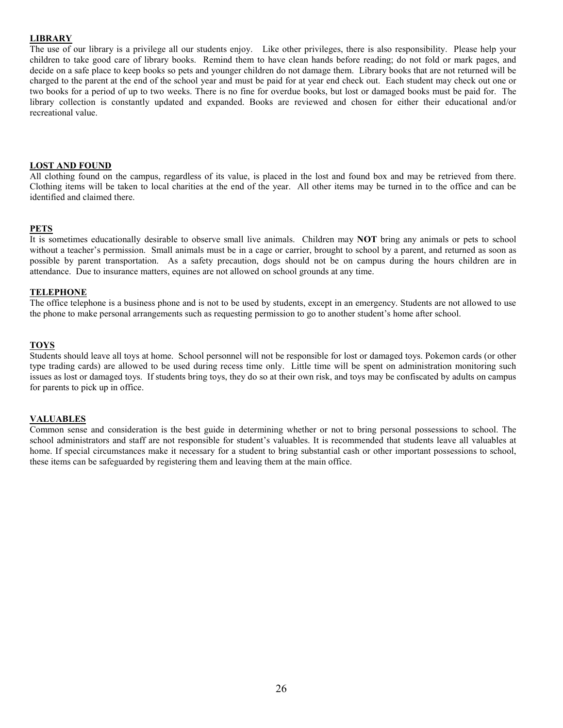#### **LIBRARY**

The use of our library is a privilege all our students enjoy. Like other privileges, there is also responsibility. Please help your children to take good care of library books. Remind them to have clean hands before reading; do not fold or mark pages, and decide on a safe place to keep books so pets and younger children do not damage them. Library books that are not returned will be charged to the parent at the end of the school year and must be paid for at year end check out. Each student may check out one or two books for a period of up to two weeks. There is no fine for overdue books, but lost or damaged books must be paid for. The library collection is constantly updated and expanded. Books are reviewed and chosen for either their educational and/or recreational value.

#### **LOST AND FOUND**

All clothing found on the campus, regardless of its value, is placed in the lost and found box and may be retrieved from there. Clothing items will be taken to local charities at the end of the year. All other items may be turned in to the office and can be identified and claimed there.

#### **PETS**

It is sometimes educationally desirable to observe small live animals. Children may **NOT** bring any animals or pets to school without a teacher's permission. Small animals must be in a cage or carrier, brought to school by a parent, and returned as soon as possible by parent transportation. As a safety precaution, dogs should not be on campus during the hours children are in attendance. Due to insurance matters, equines are not allowed on school grounds at any time.

#### **TELEPHONE**

The office telephone is a business phone and is not to be used by students, except in an emergency. Students are not allowed to use the phone to make personal arrangements such as requesting permission to go to another student's home after school.

#### **TOYS**

Students should leave all toys at home. School personnel will not be responsible for lost or damaged toys. Pokemon cards (or other type trading cards) are allowed to be used during recess time only. Little time will be spent on administration monitoring such issues as lost or damaged toys. If students bring toys, they do so at their own risk, and toys may be confiscated by adults on campus for parents to pick up in office.

#### **VALUABLES**

Common sense and consideration is the best guide in determining whether or not to bring personal possessions to school. The school administrators and staff are not responsible for student's valuables. It is recommended that students leave all valuables at home. If special circumstances make it necessary for a student to bring substantial cash or other important possessions to school, these items can be safeguarded by registering them and leaving them at the main office.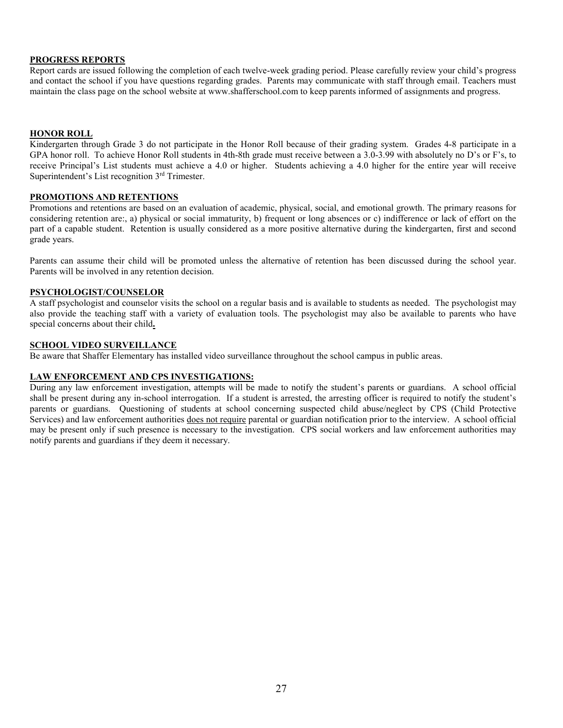#### **PROGRESS REPORTS**

Report cards are issued following the completion of each twelve-week grading period. Please carefully review your child's progress and contact the school if you have questions regarding grades. Parents may communicate with staff through email. Teachers must maintain the class page on the school website at www.shafferschool.com to keep parents informed of assignments and progress.

#### **HONOR ROLL**

Kindergarten through Grade 3 do not participate in the Honor Roll because of their grading system. Grades 4-8 participate in a GPA honor roll. To achieve Honor Roll students in 4th-8th grade must receive between a 3.0-3.99 with absolutely no D's or F's, to receive Principal's List students must achieve a 4.0 or higher. Students achieving a 4.0 higher for the entire year will receive Superintendent's List recognition 3<sup>rd</sup> Trimester.

#### **PROMOTIONS AND RETENTIONS**

Promotions and retentions are based on an evaluation of academic, physical, social, and emotional growth. The primary reasons for considering retention are:, a) physical or social immaturity, b) frequent or long absences or c) indifference or lack of effort on the part of a capable student. Retention is usually considered as a more positive alternative during the kindergarten, first and second grade years.

Parents can assume their child will be promoted unless the alternative of retention has been discussed during the school year. Parents will be involved in any retention decision.

#### **PSYCHOLOGIST/COUNSELOR**

A staff psychologist and counselor visits the school on a regular basis and is available to students as needed. The psychologist may also provide the teaching staff with a variety of evaluation tools. The psychologist may also be available to parents who have special concerns about their child**.** 

#### **SCHOOL VIDEO SURVEILLANCE**

Be aware that Shaffer Elementary has installed video surveillance throughout the school campus in public areas.

#### **LAW ENFORCEMENT AND CPS INVESTIGATIONS:**

During any law enforcement investigation, attempts will be made to notify the student's parents or guardians. A school official shall be present during any in-school interrogation. If a student is arrested, the arresting officer is required to notify the student's parents or guardians. Questioning of students at school concerning suspected child abuse/neglect by CPS (Child Protective Services) and law enforcement authorities does not require parental or guardian notification prior to the interview. A school official may be present only if such presence is necessary to the investigation. CPS social workers and law enforcement authorities may notify parents and guardians if they deem it necessary.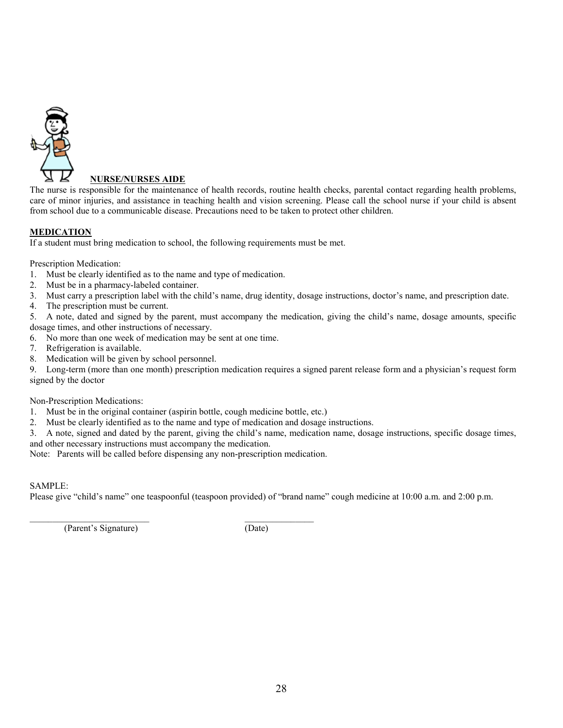

#### **NURSE/NURSES AIDE**

The nurse is responsible for the maintenance of health records, routine health checks, parental contact regarding health problems, care of minor injuries, and assistance in teaching health and vision screening. Please call the school nurse if your child is absent from school due to a communicable disease. Precautions need to be taken to protect other children.

#### **MEDICATION**

If a student must bring medication to school, the following requirements must be met.

Prescription Medication:

- 1. Must be clearly identified as to the name and type of medication.
- 2. Must be in a pharmacy-labeled container.
- 3. Must carry a prescription label with the child's name, drug identity, dosage instructions, doctor's name, and prescription date.
- 4. The prescription must be current.

5. A note, dated and signed by the parent, must accompany the medication, giving the child's name, dosage amounts, specific dosage times, and other instructions of necessary.

- 6. No more than one week of medication may be sent at one time.
- 7. Refrigeration is available.
- 8. Medication will be given by school personnel.<br>9. Long-term (more than one month) prescription

Long-term (more than one month) prescription medication requires a signed parent release form and a physician's request form signed by the doctor

Non-Prescription Medications:

- 1. Must be in the original container (aspirin bottle, cough medicine bottle, etc.)
- 2. Must be clearly identified as to the name and type of medication and dosage instructions.

3. A note, signed and dated by the parent, giving the child's name, medication name, dosage instructions, specific dosage times, and other necessary instructions must accompany the medication.

Note: Parents will be called before dispensing any non-prescription medication.

#### SAMPLE:

Please give "child's name" one teaspoonful (teaspoon provided) of "brand name" cough medicine at 10:00 a.m. and 2:00 p.m.

(Parent's Signature) (Date)

\_\_\_\_\_\_\_\_\_\_\_\_\_\_\_\_\_\_\_\_\_\_\_\_\_\_ \_\_\_\_\_\_\_\_\_\_\_\_\_\_\_